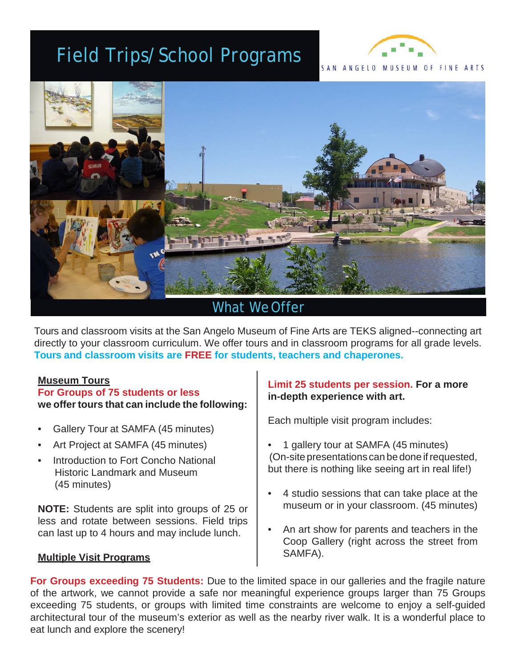## Field Trips/School Programs





### What WeOffer

Tours and classroom visits at the San Angelo Museum of Fine Arts are TEKS aligned--connecting art directly to your classroom curriculum. We offer tours and in classroom programs for all grade levels. **Tours and classroom visits are FREE for students, teachers and chaperones.**

### **Museum Tours**

#### **For Groups of 75 students or less we offer tours that can include the following:**

- Gallery Tour at SAMFA (45 minutes)
- Art Project at SAMFA (45 minutes)
- Introduction to Fort Concho National Historic Landmark and Museum (45 minutes)

**NOTE:** Students are split into groups of 25 or less and rotate between sessions. Field trips can last up to 4 hours and may include lunch.

### **Multiple Visit Programs**

### **Limit 25 students per session. For a more in-depth experience with art.**

Each multiple visit program includes:

- 1 gallery tour at SAMFA (45 minutes) (On-site presentations can be done if requested, but there is nothing like seeing art in real life!)
- 4 studio sessions that can take place at the museum or in your classroom. (45 minutes)
- An art show for parents and teachers in the Coop Gallery (right across the street from SAMFA).

**For Groups exceeding 75 Students:** Due to the limited space in our galleries and the fragile nature of the artwork, we cannot provide a safe nor meaningful experience groups larger than 75 Groups exceeding 75 students, or groups with limited time constraints are welcome to enjoy a self-guided architectural tour of the museum's exterior as well as the nearby river walk. It is a wonderful place to eat lunch and explore the scenery!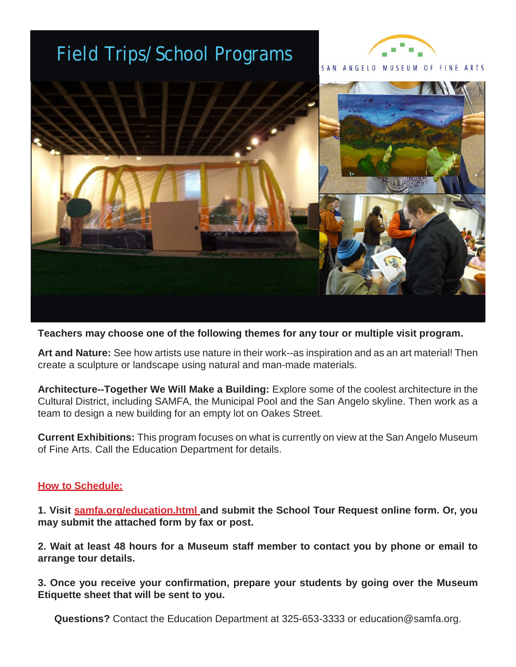## Field Trips/School Programs





**Teachers may choose one of the following themes for any tour or multiple visit program.**

**Art and Nature:** See how artists use nature in their work--as inspiration and as an art material! Then create a sculpture or landscape using natural and man-made materials.

**Architecture--Together We Will Make a Building:** Explore some of the coolest architecture in the Cultural District, including SAMFA, the Municipal Pool and the San Angelo skyline. Then work as a team to design a new building for an empty lot on Oakes Street.

**Current Exhibitions:** This program focuses on what is currently on view at the San Angelo Museum of Fine Arts. Call the Education Department for details.

### **How to Schedule:**

**1. Visit samfa.org/education.html and submit the School Tour Request online form. Or, you may submit the attached form by fax or post.**

**2. Wait at least 48 hours for a Museum staff member to contact you by phone or email to arrange tour details.**

**3. Once you receive your confirmation, prepare your students by going over the Museum Etiquette sheet that will be sent to you.**

**Questions?** Contact the Education Department at 325-653-3333 or [education@samfa.org.](mailto:education@samfa.org)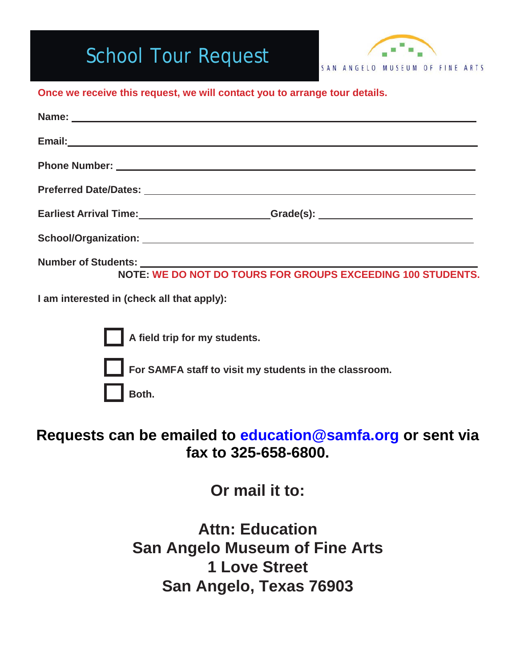# School Tour Request



### **Once we receive this request, we will contact you to arrange tour details.**

| Earliest Arrival Time: Caroline and Grade(s): Caroline and Caroline and Caroline and Caroline and Caroline and C |
|------------------------------------------------------------------------------------------------------------------|
|                                                                                                                  |
| Number of Students: Norte: WE DO NOT DO TOURS FOR GROUPS EXCEEDING 100 STUDENTS.                                 |
| I am interested in (check all that apply):                                                                       |
| A field trip for my students.                                                                                    |

**For SAMFA staff to visit my students in the classroom.** 

**Both.**

### **Requests can be emailed to education@samfa.org or sent via fax to 325-658-6800.**

**Or mail it to:** 

**Attn: Education San Angelo Museum of Fine Arts 1 Love Street San Angelo, Texas 76903**